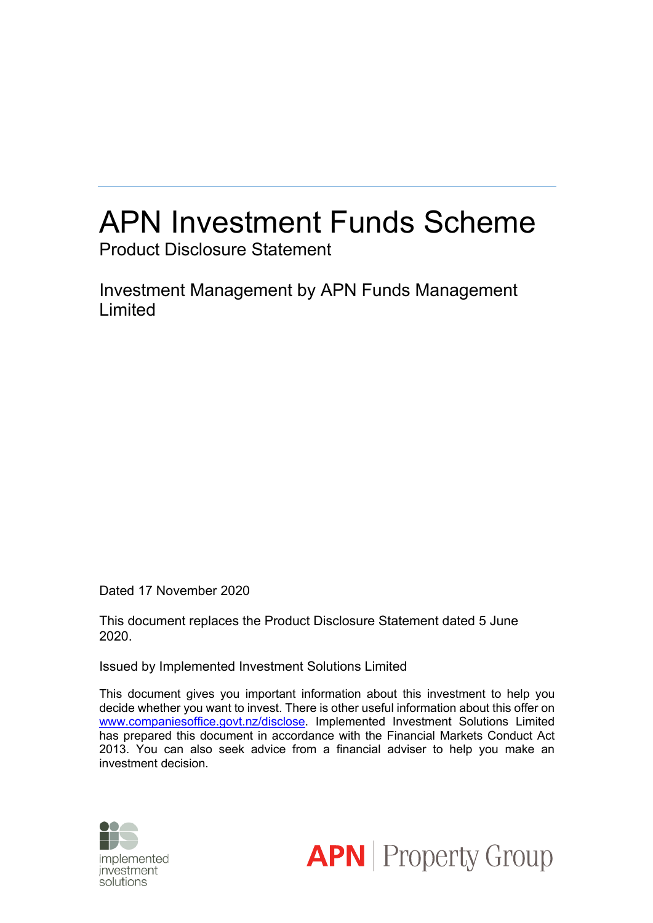# APN Investment Funds Scheme Product Disclosure Statement

Investment Management by APN Funds Management Limited

Dated 17 November 2020

This document replaces the Product Disclosure Statement dated 5 June 2020.

Issued by Implemented Investment Solutions Limited

This document gives you important information about this investment to help you decide whether you want to invest. There is other useful information about this offer on www.companiesoffice.govt.nz/disclose. Implemented Investment Solutions Limited has prepared this document in accordance with the Financial Markets Conduct Act 2013. You can also seek advice from a financial adviser to help you make an investment decision.



**APN** Property Group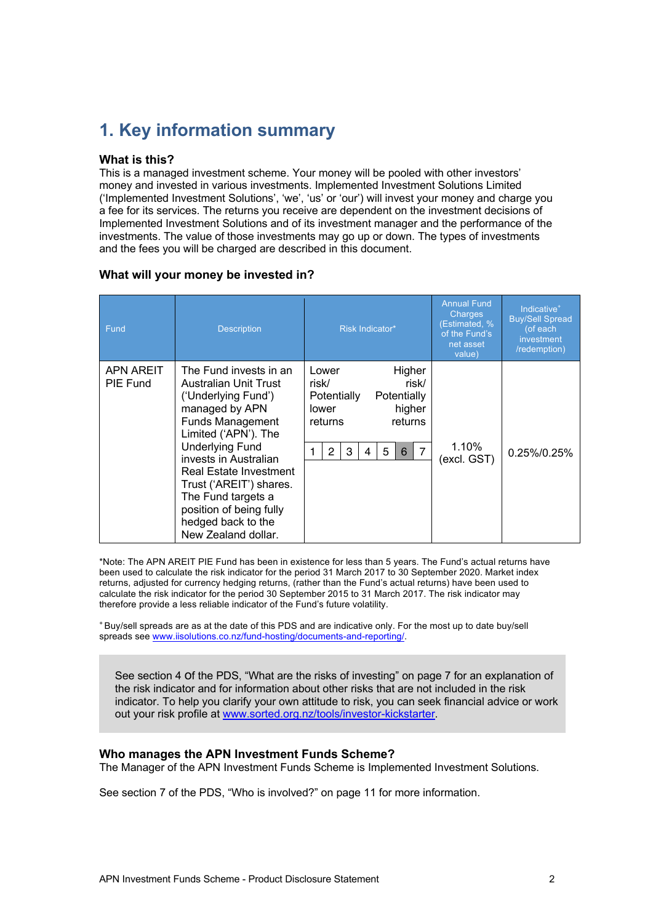# **1. Key information summary**

### **What is this?**

This is a managed investment scheme. Your money will be pooled with other investors' money and invested in various investments. Implemented Investment Solutions Limited ('Implemented Investment Solutions', 'we', 'us' or 'our') will invest your money and charge you a fee for its services. The returns you receive are dependent on the investment decisions of Implemented Investment Solutions and of its investment manager and the performance of the investments. The value of those investments may go up or down. The types of investments and the fees you will be charged are described in this document.

### **What will your money be invested in?**

| Fund                         | <b>Description</b>                                                                                                                                                                                                                                                                                                                                | Risk Indicator*                                                                                                                                                               | <b>Annual Fund</b><br><b>Charges</b><br>(Estimated, %<br>of the Fund's<br>net asset<br>value) | Indicative <sup>+</sup><br><b>Buy/Sell Spread</b><br>(of each<br>investment<br>/redemption) |
|------------------------------|---------------------------------------------------------------------------------------------------------------------------------------------------------------------------------------------------------------------------------------------------------------------------------------------------------------------------------------------------|-------------------------------------------------------------------------------------------------------------------------------------------------------------------------------|-----------------------------------------------------------------------------------------------|---------------------------------------------------------------------------------------------|
| <b>APN AREIT</b><br>PIE Fund | The Fund invests in an<br>Australian Unit Trust<br>('Underlying Fund')<br>managed by APN<br><b>Funds Management</b><br>Limited ('APN'). The<br><b>Underlying Fund</b><br>invests in Australian<br>Real Estate Investment<br>Trust ('AREIT') shares.<br>The Fund targets a<br>position of being fully<br>hedged back to the<br>New Zealand dollar. | Higher<br>Lower<br>risk/<br>risk/<br>Potentially<br>Potentially<br>higher<br>lower<br>returns<br>returns<br>5<br>$6\phantom{1}$<br>$\overline{7}$<br>$\overline{2}$<br>3<br>4 | $1.10\%$<br>(excl. GST)                                                                       | $0.25\%/0.25\%$                                                                             |

\*Note: The APN AREIT PIE Fund has been in existence for less than 5 years. The Fund's actual returns have been used to calculate the risk indicator for the period 31 March 2017 to 30 September 2020. Market index returns, adjusted for currency hedging returns, (rather than the Fund's actual returns) have been used to calculate the risk indicator for the period 30 September 2015 to 31 March 2017. The risk indicator may therefore provide a less reliable indicator of the Fund's future volatility.

<sup>+</sup> Buy/sell spreads are as at the date of this PDS and are indicative only. For the most up to date buy/sell spreads see www.iisolutions.co.nz/fund-hosting/documents-and-reporting/.

See section 4 of the PDS, "What are the risks of investing" on page 7 for an explanation of the risk indicator and for information about other risks that are not included in the risk indicator. To help you clarify your own attitude to risk, you can seek financial advice or work out your risk profile at www.sorted.org.nz/tools/investor-kickstarter.

### **Who manages the APN Investment Funds Scheme?**

The Manager of the APN Investment Funds Scheme is Implemented Investment Solutions.

See section 7 of the PDS, "Who is involved?" on page 11 for more information.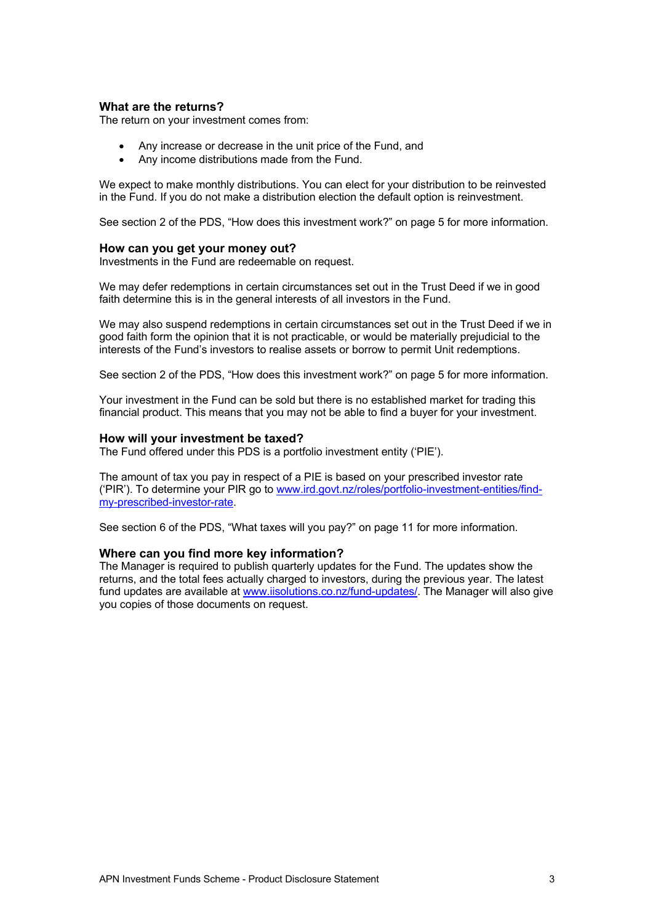### **What are the returns?**

The return on your investment comes from:

- Any increase or decrease in the unit price of the Fund, and
- Any income distributions made from the Fund.

We expect to make monthly distributions. You can elect for your distribution to be reinvested in the Fund. If you do not make a distribution election the default option is reinvestment.

See section 2 of the PDS, "How does this investment work?" on page 5 for more information.

### **How can you get your money out?**

Investments in the Fund are redeemable on request.

We may defer redemptions in certain circumstances set out in the Trust Deed if we in good faith determine this is in the general interests of all investors in the Fund.

We may also suspend redemptions in certain circumstances set out in the Trust Deed if we in good faith form the opinion that it is not practicable, or would be materially prejudicial to the interests of the Fund's investors to realise assets or borrow to permit Unit redemptions.

See section 2 of the PDS, "How does this investment work?" on page 5 for more information.

Your investment in the Fund can be sold but there is no established market for trading this financial product. This means that you may not be able to find a buyer for your investment.

### **How will your investment be taxed?**

The Fund offered under this PDS is a portfolio investment entity ('PIE').

The amount of tax you pay in respect of a PIE is based on your prescribed investor rate ('PIR'). To determine your PIR go to www.ird.govt.nz/roles/portfolio-investment-entities/findmy-prescribed-investor-rate.

See section 6 of the PDS, "What taxes will you pay?" on page 11 for more information.

### **Where can you find more key information?**

The Manager is required to publish quarterly updates for the Fund. The updates show the returns, and the total fees actually charged to investors, during the previous year. The latest fund updates are available at www.iisolutions.co.nz/fund-updates/. The Manager will also give you copies of those documents on request.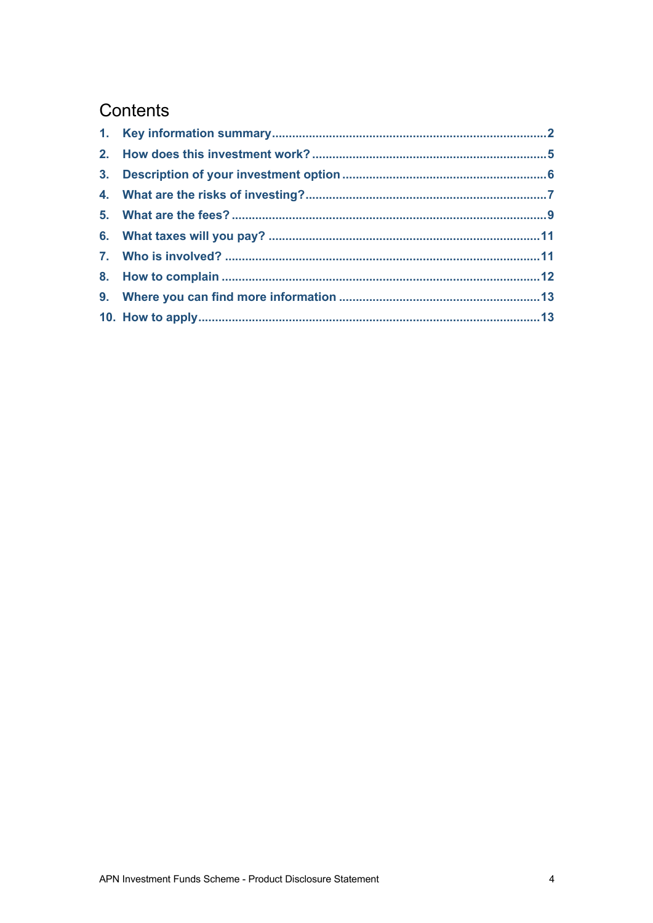# Contents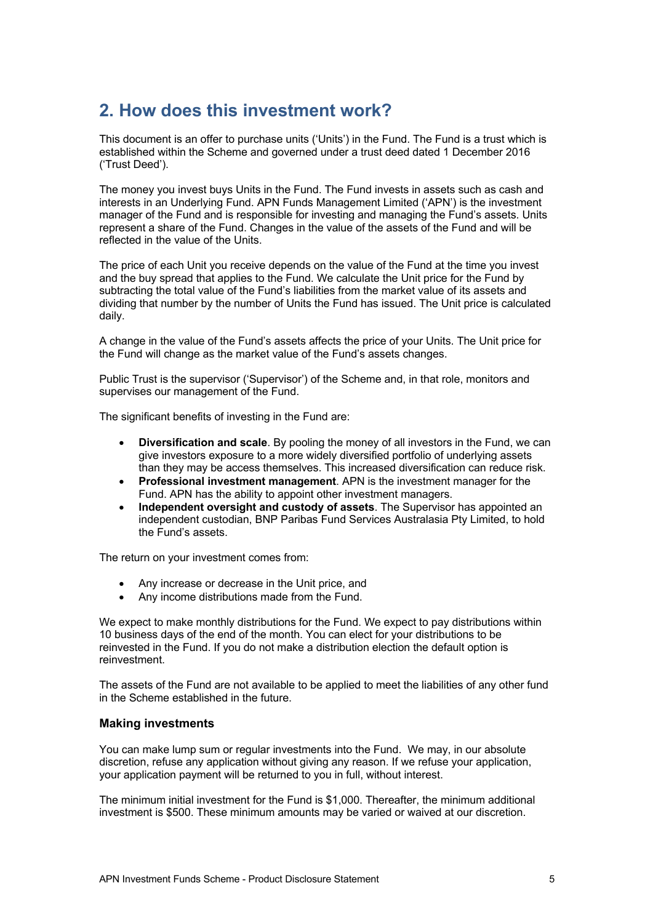# **2. How does this investment work?**

This document is an offer to purchase units ('Units') in the Fund. The Fund is a trust which is established within the Scheme and governed under a trust deed dated 1 December 2016 ('Trust Deed').

The money you invest buys Units in the Fund. The Fund invests in assets such as cash and interests in an Underlying Fund. APN Funds Management Limited ('APN') is the investment manager of the Fund and is responsible for investing and managing the Fund's assets. Units represent a share of the Fund. Changes in the value of the assets of the Fund and will be reflected in the value of the Units.

The price of each Unit you receive depends on the value of the Fund at the time you invest and the buy spread that applies to the Fund. We calculate the Unit price for the Fund by subtracting the total value of the Fund's liabilities from the market value of its assets and dividing that number by the number of Units the Fund has issued. The Unit price is calculated daily.

A change in the value of the Fund's assets affects the price of your Units. The Unit price for the Fund will change as the market value of the Fund's assets changes.

Public Trust is the supervisor ('Supervisor') of the Scheme and, in that role, monitors and supervises our management of the Fund.

The significant benefits of investing in the Fund are:

- **Diversification and scale**. By pooling the money of all investors in the Fund, we can give investors exposure to a more widely diversified portfolio of underlying assets than they may be access themselves. This increased diversification can reduce risk.
- **Professional investment management**. APN is the investment manager for the Fund. APN has the ability to appoint other investment managers.
- **Independent oversight and custody of assets**. The Supervisor has appointed an independent custodian, BNP Paribas Fund Services Australasia Pty Limited, to hold the Fund's assets.

The return on your investment comes from:

- Any increase or decrease in the Unit price, and
- Any income distributions made from the Fund.

We expect to make monthly distributions for the Fund. We expect to pay distributions within 10 business days of the end of the month. You can elect for your distributions to be reinvested in the Fund. If you do not make a distribution election the default option is reinvestment.

The assets of the Fund are not available to be applied to meet the liabilities of any other fund in the Scheme established in the future.

### **Making investments**

You can make lump sum or regular investments into the Fund. We may, in our absolute discretion, refuse any application without giving any reason. If we refuse your application, your application payment will be returned to you in full, without interest.

The minimum initial investment for the Fund is \$1,000. Thereafter, the minimum additional investment is \$500. These minimum amounts may be varied or waived at our discretion.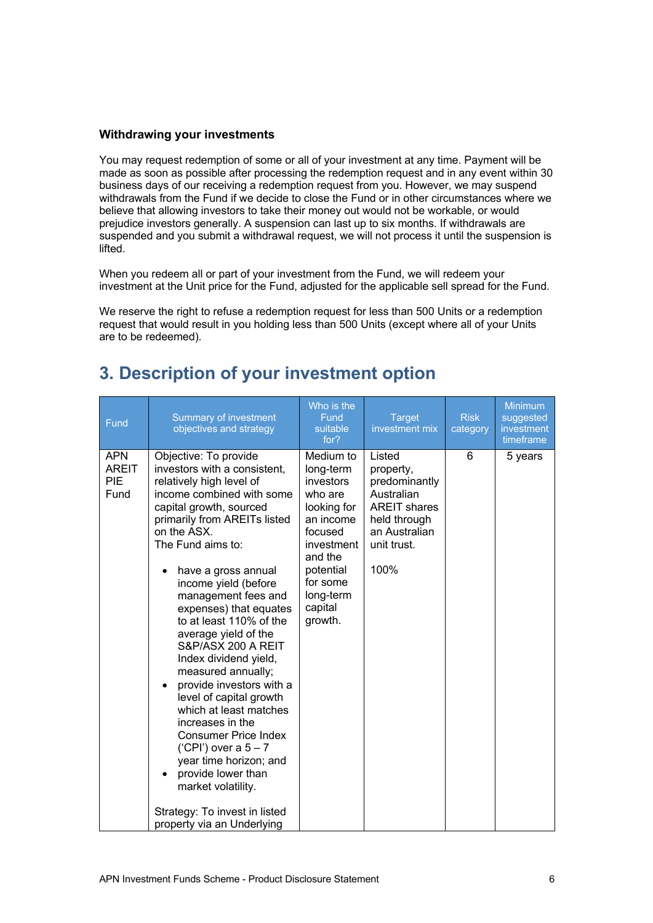### **Withdrawing your investments**

You may request redemption of some or all of your investment at any time. Payment will be made as soon as possible after processing the redemption request and in any event within 30 business days of our receiving a redemption request from you. However, we may suspend withdrawals from the Fund if we decide to close the Fund or in other circumstances where we believe that allowing investors to take their money out would not be workable, or would prejudice investors generally. A suspension can last up to six months. If withdrawals are suspended and you submit a withdrawal request, we will not process it until the suspension is lifted.

When you redeem all or part of your investment from the Fund, we will redeem your investment at the Unit price for the Fund, adjusted for the applicable sell spread for the Fund.

We reserve the right to refuse a redemption request for less than 500 Units or a redemption request that would result in you holding less than 500 Units (except where all of your Units are to be redeemed).

| <b>APN</b><br>Objective: To provide<br>Medium to<br>Listed<br>6<br><b>AREIT</b><br>investors with a consistent,<br>long-term<br>property,<br><b>PIE</b><br>investors<br>relatively high level of<br>predominantly<br>Fund<br>income combined with some<br>Australian<br>who are                                                                                                                                                                                                                                                                                                                                                                                                                                                                                  | Fund | <b>Summary of investment</b><br>objectives and strategy | Who is the<br>Fund<br>suitable<br>for? | <b>Target</b><br>investment mix | <b>Risk</b><br>category | <b>Minimum</b><br>suggested<br>investment<br>timeframe |
|------------------------------------------------------------------------------------------------------------------------------------------------------------------------------------------------------------------------------------------------------------------------------------------------------------------------------------------------------------------------------------------------------------------------------------------------------------------------------------------------------------------------------------------------------------------------------------------------------------------------------------------------------------------------------------------------------------------------------------------------------------------|------|---------------------------------------------------------|----------------------------------------|---------------------------------|-------------------------|--------------------------------------------------------|
| primarily from AREITs listed<br>an income<br>held through<br>on the ASX.<br>focused<br>an Australian<br>unit trust.<br>The Fund aims to:<br>investment<br>and the<br>100%<br>potential<br>have a gross annual<br>income yield (before<br>for some<br>long-term<br>management fees and<br>capital<br>expenses) that equates<br>growth.<br>to at least 110% of the<br>average yield of the<br>S&P/ASX 200 A REIT<br>Index dividend yield,<br>measured annually;<br>provide investors with a<br>level of capital growth<br>which at least matches<br>increases in the<br><b>Consumer Price Index</b><br>('CPI') over a $5 - 7$<br>year time horizon; and<br>provide lower than<br>market volatility.<br>Strategy: To invest in listed<br>property via an Underlying |      | capital growth, sourced                                 | looking for                            | <b>AREIT shares</b>             |                         | 5 years                                                |

## **3. Description of your investment option**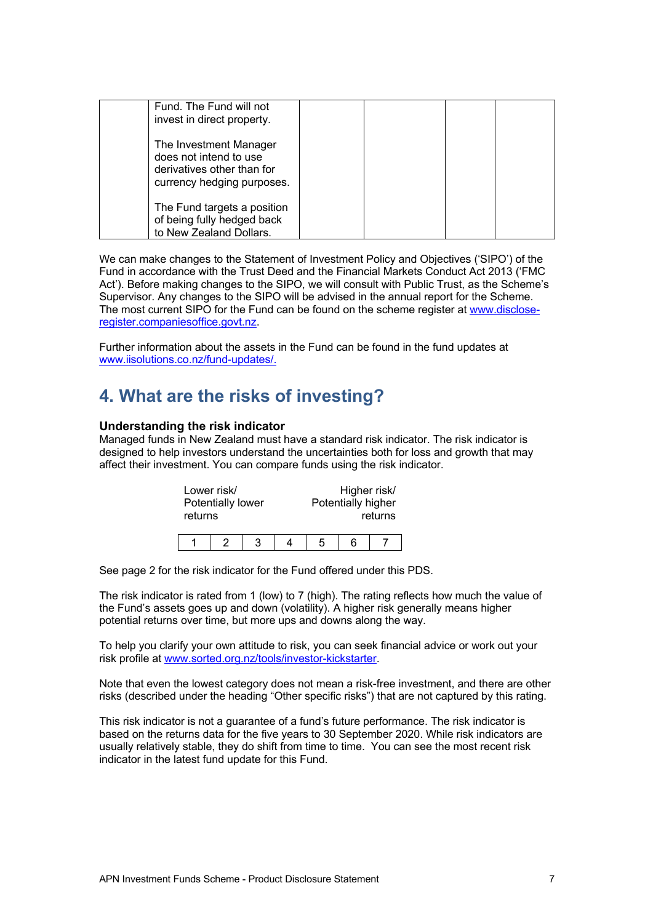| Fund. The Fund will not<br>invest in direct property.                                                        |  |
|--------------------------------------------------------------------------------------------------------------|--|
| The Investment Manager<br>does not intend to use<br>derivatives other than for<br>currency hedging purposes. |  |
| The Fund targets a position<br>of being fully hedged back<br>to New Zealand Dollars.                         |  |

We can make changes to the Statement of Investment Policy and Objectives ('SIPO') of the Fund in accordance with the Trust Deed and the Financial Markets Conduct Act 2013 ('FMC Act'). Before making changes to the SIPO, we will consult with Public Trust, as the Scheme's Supervisor. Any changes to the SIPO will be advised in the annual report for the Scheme. The most current SIPO for the Fund can be found on the scheme register at www.discloseregister.companiesoffice.govt.nz.

Further information about the assets in the Fund can be found in the fund updates at www.iisolutions.co.nz/fund-updates/.

### **4. What are the risks of investing?**

### **Understanding the risk indicator**

Managed funds in New Zealand must have a standard risk indicator. The risk indicator is designed to help investors understand the uncertainties both for loss and growth that may affect their investment. You can compare funds using the risk indicator.

| Lower risk/<br>Potentially lower<br>returns |  |   |   | Higher risk/<br>Potentially higher | returns |
|---------------------------------------------|--|---|---|------------------------------------|---------|
|                                             |  | 3 | 5 | 6                                  |         |

See page 2 for the risk indicator for the Fund offered under this PDS.

The risk indicator is rated from 1 (low) to 7 (high). The rating reflects how much the value of the Fund's assets goes up and down (volatility). A higher risk generally means higher potential returns over time, but more ups and downs along the way.

To help you clarify your own attitude to risk, you can seek financial advice or work out your risk profile at www.sorted.org.nz/tools/investor-kickstarter.

Note that even the lowest category does not mean a risk-free investment, and there are other risks (described under the heading "Other specific risks") that are not captured by this rating.

This risk indicator is not a guarantee of a fund's future performance. The risk indicator is based on the returns data for the five years to 30 September 2020. While risk indicators are usually relatively stable, they do shift from time to time. You can see the most recent risk indicator in the latest fund update for this Fund.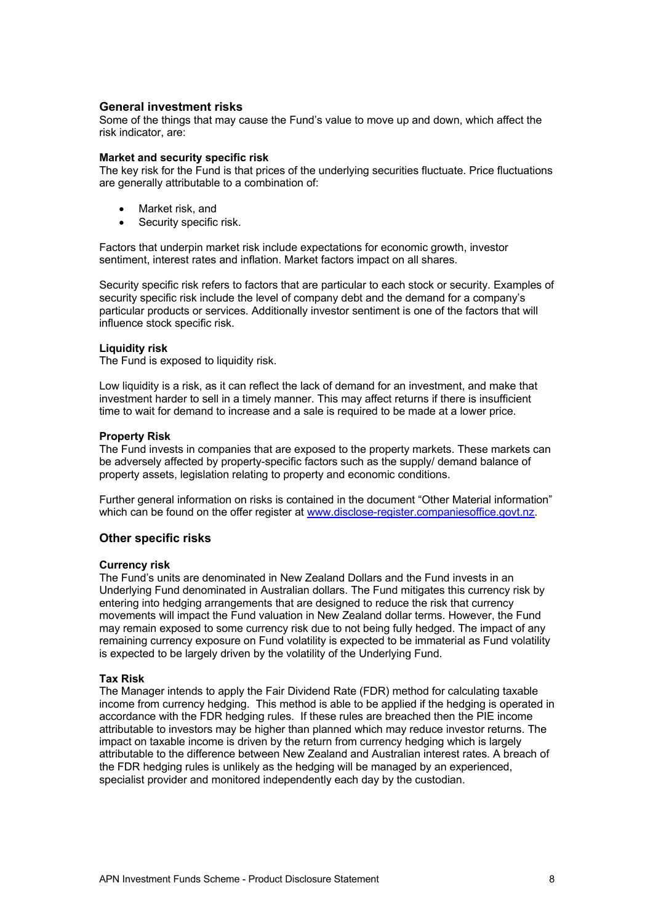### **General investment risks**

Some of the things that may cause the Fund's value to move up and down, which affect the risk indicator, are:

### **Market and security specific risk**

The key risk for the Fund is that prices of the underlying securities fluctuate. Price fluctuations are generally attributable to a combination of:

- Market risk, and
- Security specific risk.

Factors that underpin market risk include expectations for economic growth, investor sentiment, interest rates and inflation. Market factors impact on all shares.

Security specific risk refers to factors that are particular to each stock or security. Examples of security specific risk include the level of company debt and the demand for a company's particular products or services. Additionally investor sentiment is one of the factors that will influence stock specific risk.

### **Liquidity risk**

The Fund is exposed to liquidity risk.

Low liquidity is a risk, as it can reflect the lack of demand for an investment, and make that investment harder to sell in a timely manner. This may affect returns if there is insufficient time to wait for demand to increase and a sale is required to be made at a lower price.

#### **Property Risk**

The Fund invests in companies that are exposed to the property markets. These markets can be adversely affected by property-specific factors such as the supply/ demand balance of property assets, legislation relating to property and economic conditions.

Further general information on risks is contained in the document "Other Material information" which can be found on the offer register at www.disclose-register.companiesoffice.govt.nz.

### **Other specific risks**

#### **Currency risk**

The Fund's units are denominated in New Zealand Dollars and the Fund invests in an Underlying Fund denominated in Australian dollars. The Fund mitigates this currency risk by entering into hedging arrangements that are designed to reduce the risk that currency movements will impact the Fund valuation in New Zealand dollar terms. However, the Fund may remain exposed to some currency risk due to not being fully hedged. The impact of any remaining currency exposure on Fund volatility is expected to be immaterial as Fund volatility is expected to be largely driven by the volatility of the Underlying Fund.

#### **Tax Risk**

The Manager intends to apply the Fair Dividend Rate (FDR) method for calculating taxable income from currency hedging. This method is able to be applied if the hedging is operated in accordance with the FDR hedging rules. If these rules are breached then the PIE income attributable to investors may be higher than planned which may reduce investor returns. The impact on taxable income is driven by the return from currency hedging which is largely attributable to the difference between New Zealand and Australian interest rates. A breach of the FDR hedging rules is unlikely as the hedging will be managed by an experienced, specialist provider and monitored independently each day by the custodian.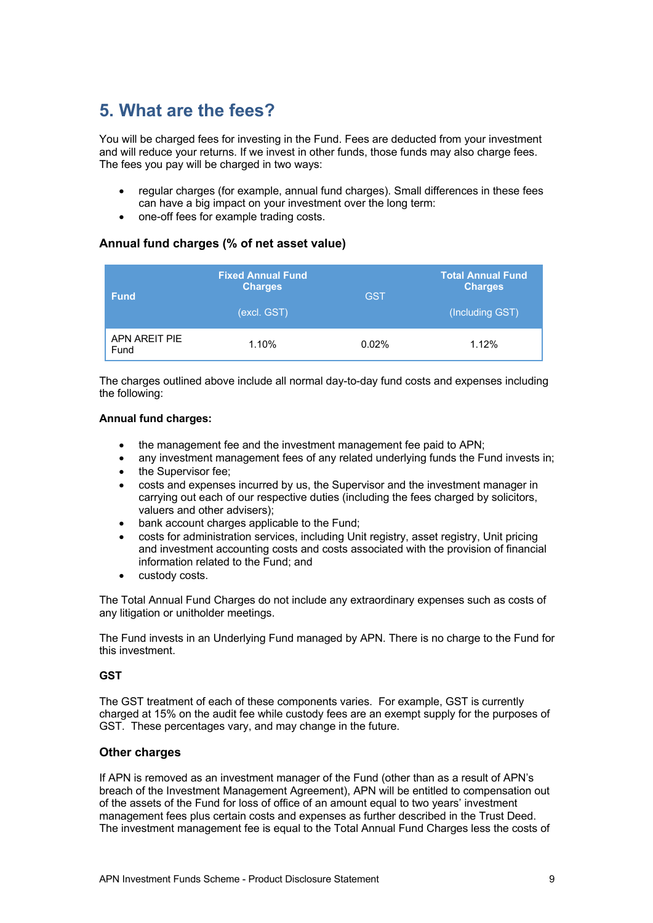# **5. What are the fees?**

You will be charged fees for investing in the Fund. Fees are deducted from your investment and will reduce your returns. If we invest in other funds, those funds may also charge fees. The fees you pay will be charged in two ways:

- regular charges (for example, annual fund charges). Small differences in these fees can have a big impact on your investment over the long term:
- one-off fees for example trading costs.

### **Annual fund charges (% of net asset value)**

| <b>Fund</b>           | <b>Fixed Annual Fund</b><br><b>Charges</b><br>(excl. GST) | <b>GST</b> | <b>Total Annual Fund</b><br><b>Charges</b><br>(Including GST) |
|-----------------------|-----------------------------------------------------------|------------|---------------------------------------------------------------|
| APN AREIT PIE<br>Fund | 1.10%                                                     | 0.02%      | 1.12%                                                         |

The charges outlined above include all normal day-to-day fund costs and expenses including the following:

### **Annual fund charges:**

- the management fee and the investment management fee paid to APN;
- any investment management fees of any related underlying funds the Fund invests in;
- the Supervisor fee;
- costs and expenses incurred by us, the Supervisor and the investment manager in carrying out each of our respective duties (including the fees charged by solicitors, valuers and other advisers);
- bank account charges applicable to the Fund:
- costs for administration services, including Unit registry, asset registry, Unit pricing and investment accounting costs and costs associated with the provision of financial information related to the Fund; and
- custody costs.

The Total Annual Fund Charges do not include any extraordinary expenses such as costs of any litigation or unitholder meetings.

The Fund invests in an Underlying Fund managed by APN. There is no charge to the Fund for this investment.

### **GST**

The GST treatment of each of these components varies. For example, GST is currently charged at 15% on the audit fee while custody fees are an exempt supply for the purposes of GST. These percentages vary, and may change in the future.

### **Other charges**

If APN is removed as an investment manager of the Fund (other than as a result of APN's breach of the Investment Management Agreement), APN will be entitled to compensation out of the assets of the Fund for loss of office of an amount equal to two years' investment management fees plus certain costs and expenses as further described in the Trust Deed. The investment management fee is equal to the Total Annual Fund Charges less the costs of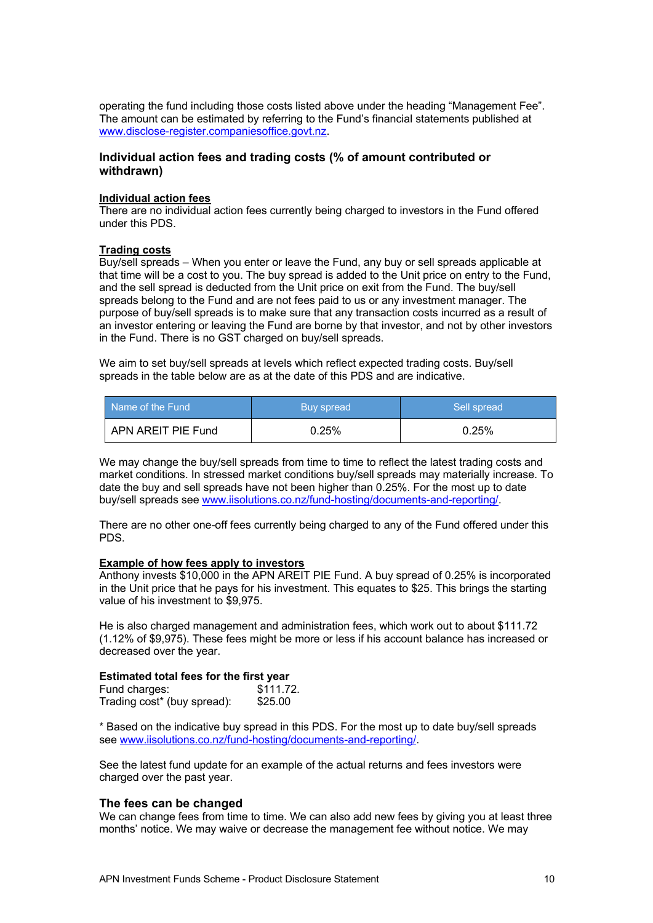operating the fund including those costs listed above under the heading "Management Fee". The amount can be estimated by referring to the Fund's financial statements published at www.disclose-register.companiesoffice.govt.nz.

### **Individual action fees and trading costs (% of amount contributed or withdrawn)**

### **Individual action fees**

There are no individual action fees currently being charged to investors in the Fund offered under this PDS.

### **Trading costs**

Buy/sell spreads – When you enter or leave the Fund, any buy or sell spreads applicable at that time will be a cost to you. The buy spread is added to the Unit price on entry to the Fund, and the sell spread is deducted from the Unit price on exit from the Fund. The buy/sell spreads belong to the Fund and are not fees paid to us or any investment manager. The purpose of buy/sell spreads is to make sure that any transaction costs incurred as a result of an investor entering or leaving the Fund are borne by that investor, and not by other investors in the Fund. There is no GST charged on buy/sell spreads.

We aim to set buy/sell spreads at levels which reflect expected trading costs. Buy/sell spreads in the table below are as at the date of this PDS and are indicative.

| Name of the Fund    | Buy spread | Sell spread |  |
|---------------------|------------|-------------|--|
| LAPN AREIT PIE Fund | 0.25%      | 0.25%       |  |

We may change the buy/sell spreads from time to time to reflect the latest trading costs and market conditions. In stressed market conditions buy/sell spreads may materially increase. To date the buy and sell spreads have not been higher than 0.25%. For the most up to date buy/sell spreads see www.iisolutions.co.nz/fund-hosting/documents-and-reporting/.

There are no other one-off fees currently being charged to any of the Fund offered under this PDS.

### **Example of how fees apply to investors**

Anthony invests \$10,000 in the APN AREIT PIE Fund. A buy spread of 0.25% is incorporated in the Unit price that he pays for his investment. This equates to \$25. This brings the starting value of his investment to \$9,975.

He is also charged management and administration fees, which work out to about \$111.72 (1.12% of \$9,975). These fees might be more or less if his account balance has increased or decreased over the year.

### **Estimated total fees for the first year**

| Fund charges:               | \$111.72. |
|-----------------------------|-----------|
| Trading cost* (buy spread): | \$25.00   |

\* Based on the indicative buy spread in this PDS. For the most up to date buy/sell spreads see www.iisolutions.co.nz/fund-hosting/documents-and-reporting/.

See the latest fund update for an example of the actual returns and fees investors were charged over the past year.

### **The fees can be changed**

We can change fees from time to time. We can also add new fees by giving you at least three months' notice. We may waive or decrease the management fee without notice. We may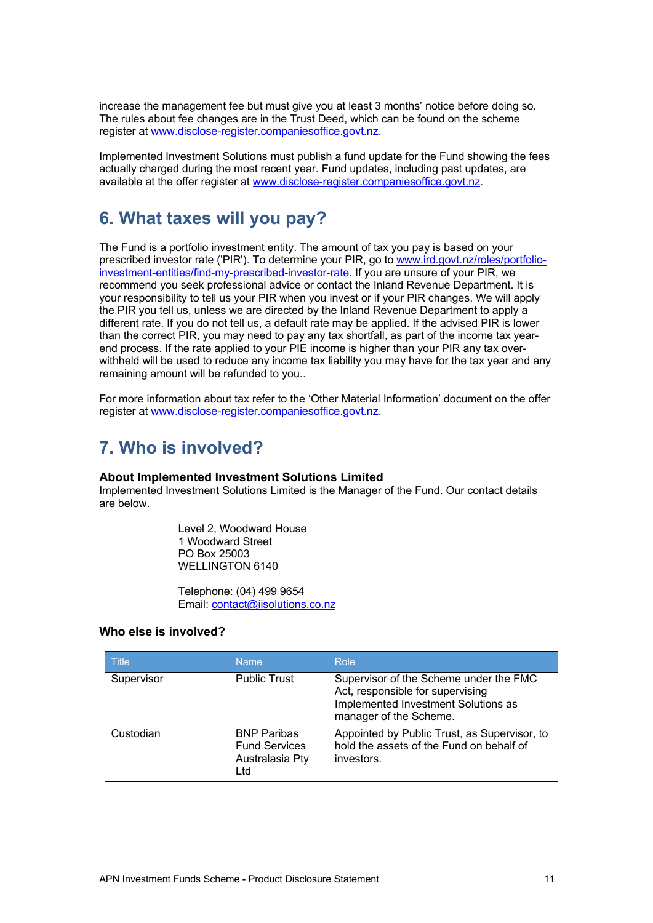increase the management fee but must give you at least 3 months' notice before doing so. The rules about fee changes are in the Trust Deed, which can be found on the scheme register at www.disclose-register.companiesoffice.govt.nz.

Implemented Investment Solutions must publish a fund update for the Fund showing the fees actually charged during the most recent year. Fund updates, including past updates, are available at the offer register at www.disclose-register.companiesoffice.govt.nz.

### **6. What taxes will you pay?**

The Fund is a portfolio investment entity. The amount of tax you pay is based on your prescribed investor rate ('PIR'). To determine your PIR, go to www.ird.govt.nz/roles/portfolioinvestment-entities/find-my-prescribed-investor-rate. If you are unsure of your PIR, we recommend you seek professional advice or contact the Inland Revenue Department. It is your responsibility to tell us your PIR when you invest or if your PIR changes. We will apply the PIR you tell us, unless we are directed by the Inland Revenue Department to apply a different rate. If you do not tell us, a default rate may be applied. If the advised PIR is lower than the correct PIR, you may need to pay any tax shortfall, as part of the income tax yearend process. If the rate applied to your PIE income is higher than your PIR any tax overwithheld will be used to reduce any income tax liability you may have for the tax year and any remaining amount will be refunded to you..

For more information about tax refer to the 'Other Material Information' document on the offer register at www.disclose-register.companiesoffice.govt.nz.

# **7. Who is involved?**

### **About Implemented Investment Solutions Limited**

Implemented Investment Solutions Limited is the Manager of the Fund. Our contact details are below.

> Level 2, Woodward House 1 Woodward Street PO Box 25003 WELLINGTON 6140

Telephone: (04) 499 9654 Email: contact@iisolutions.co.nz

### **Who else is involved?**

| <b>Title</b> | <b>Name</b>                                                          | Role                                                                                                                                        |
|--------------|----------------------------------------------------------------------|---------------------------------------------------------------------------------------------------------------------------------------------|
| Supervisor   | <b>Public Trust</b>                                                  | Supervisor of the Scheme under the FMC<br>Act, responsible for supervising<br>Implemented Investment Solutions as<br>manager of the Scheme. |
| Custodian    | <b>BNP Paribas</b><br><b>Fund Services</b><br>Australasia Pty<br>Ltd | Appointed by Public Trust, as Supervisor, to<br>hold the assets of the Fund on behalf of<br>investors.                                      |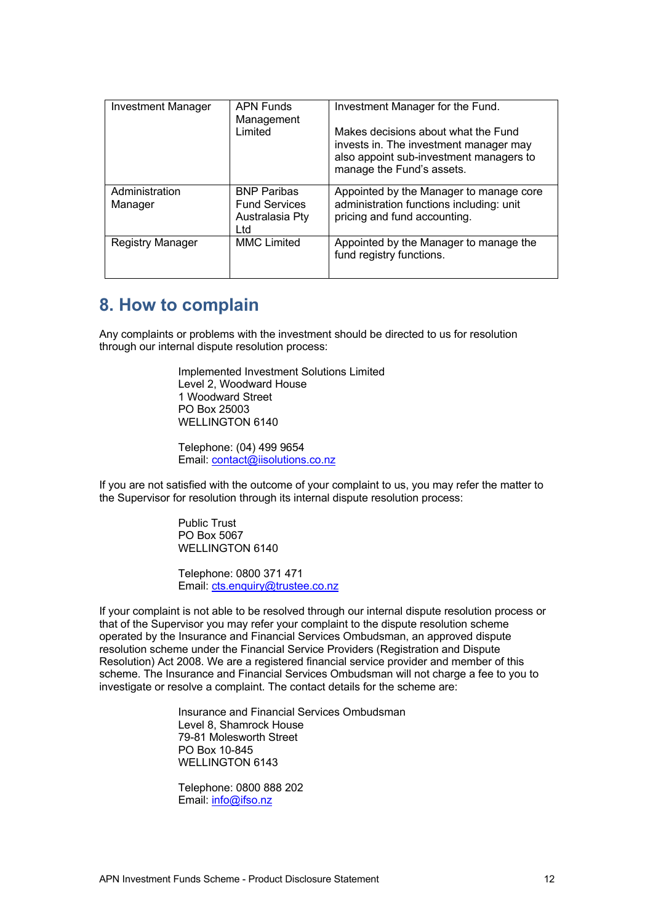| <b>Investment Manager</b> | <b>APN Funds</b><br>Management                                       | Investment Manager for the Fund.                                                                                                                      |
|---------------------------|----------------------------------------------------------------------|-------------------------------------------------------------------------------------------------------------------------------------------------------|
|                           | Limited                                                              | Makes decisions about what the Fund<br>invests in. The investment manager may<br>also appoint sub-investment managers to<br>manage the Fund's assets. |
| Administration<br>Manager | <b>BNP Paribas</b><br><b>Fund Services</b><br>Australasia Pty<br>Ltd | Appointed by the Manager to manage core<br>administration functions including: unit<br>pricing and fund accounting.                                   |
| <b>Registry Manager</b>   | <b>MMC Limited</b>                                                   | Appointed by the Manager to manage the<br>fund registry functions.                                                                                    |

### **8. How to complain**

Any complaints or problems with the investment should be directed to us for resolution through our internal dispute resolution process:

> Implemented Investment Solutions Limited Level 2, Woodward House 1 Woodward Street PO Box 25003 WELLINGTON 6140

Telephone: (04) 499 9654 Email: contact@iisolutions.co.nz

If you are not satisfied with the outcome of your complaint to us, you may refer the matter to the Supervisor for resolution through its internal dispute resolution process:

> Public Trust PO Box 5067 WELLINGTON 6140

Telephone: 0800 371 471 Email: cts.enquiry@trustee.co.nz

If your complaint is not able to be resolved through our internal dispute resolution process or that of the Supervisor you may refer your complaint to the dispute resolution scheme operated by the Insurance and Financial Services Ombudsman, an approved dispute resolution scheme under the Financial Service Providers (Registration and Dispute Resolution) Act 2008. We are a registered financial service provider and member of this scheme. The Insurance and Financial Services Ombudsman will not charge a fee to you to investigate or resolve a complaint. The contact details for the scheme are:

> Insurance and Financial Services Ombudsman Level 8, Shamrock House 79-81 Molesworth Street PO Box 10-845 WELLINGTON 6143

Telephone: 0800 888 202 Email: info@ifso.nz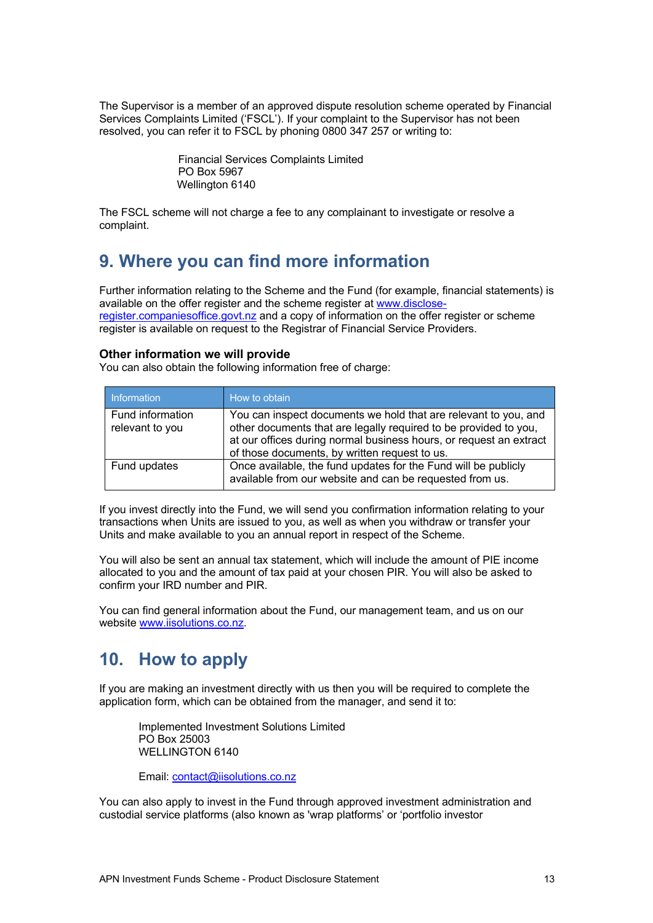The Supervisor is a member of an approved dispute resolution scheme operated by Financial Services Complaints Limited ('FSCL'). If your complaint to the Supervisor has not been resolved, you can refer it to FSCL by phoning 0800 347 257 or writing to:

> Financial Services Complaints Limited PO Box 5967 Wellington 6140

The FSCL scheme will not charge a fee to any complainant to investigate or resolve a complaint.

### **9. Where you can find more information**

Further information relating to the Scheme and the Fund (for example, financial statements) is available on the offer register and the scheme register at www.discloseregister.companiesoffice.govt.nz and a copy of information on the offer register or scheme register is available on request to the Registrar of Financial Service Providers.

### **Other information we will provide**

You can also obtain the following information free of charge:

| Information                         | How to obtain                                                                                                                                                                                                                                              |
|-------------------------------------|------------------------------------------------------------------------------------------------------------------------------------------------------------------------------------------------------------------------------------------------------------|
| Fund information<br>relevant to you | You can inspect documents we hold that are relevant to you, and<br>other documents that are legally required to be provided to you,<br>at our offices during normal business hours, or request an extract<br>of those documents, by written request to us. |
| Fund updates                        | Once available, the fund updates for the Fund will be publicly<br>available from our website and can be requested from us.                                                                                                                                 |

If you invest directly into the Fund, we will send you confirmation information relating to your transactions when Units are issued to you, as well as when you withdraw or transfer your Units and make available to you an annual report in respect of the Scheme.

You will also be sent an annual tax statement, which will include the amount of PIE income allocated to you and the amount of tax paid at your chosen PIR. You will also be asked to confirm your IRD number and PIR.

You can find general information about the Fund, our management team, and us on our website www.iisolutions.co.nz.

## **10. How to apply**

If you are making an investment directly with us then you will be required to complete the application form, which can be obtained from the manager, and send it to:

Implemented Investment Solutions Limited PO Box 25003 WELLINGTON 6140

Email: contact@iisolutions.co.nz

You can also apply to invest in the Fund through approved investment administration and custodial service platforms (also known as 'wrap platforms' or 'portfolio investor